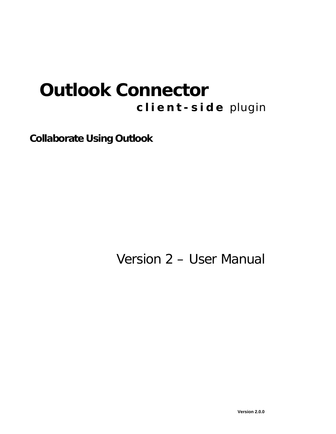# **Outlook Connector client-side** plugin

*Collaborate Using Outlook* 

Version 2 – User Manual

**Version 2.0.0**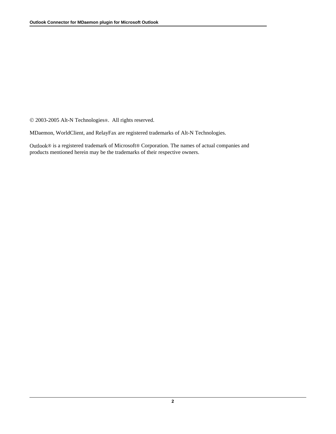© 2003-2005 Alt-N Technologies®. All rights reserved.

MDaemon, WorldClient, and RelayFax are registered trademarks of Alt-N Technologies.

Outlook® is a registered trademark of Microsoft® Corporation. The names of actual companies and products mentioned herein may be the trademarks of their respective owners.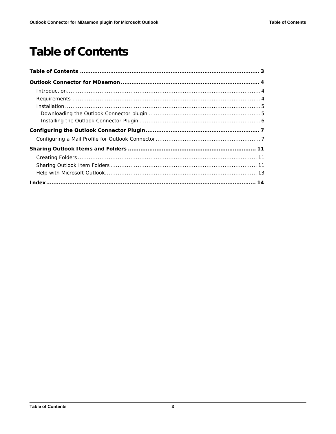## <span id="page-2-0"></span>**Table of Contents**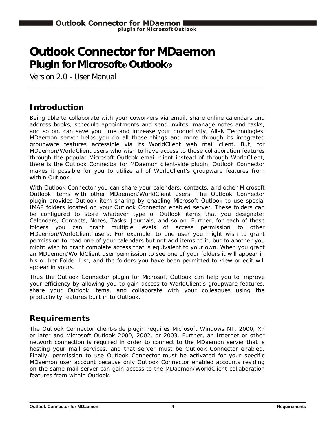## <span id="page-3-0"></span>**Outlook Connector for MDaemon Plugin for Microsoft® Outlook®**

Version 2.0 - User Manual

### <span id="page-3-1"></span>**Introduction**

Being able to collaborate with your coworkers via email, share online calendars and address books, schedule appointments and send invites, manage notes and tasks, and so on, can save you time and increase your productivity. Alt-N Technologies' MDaemon server helps you do all those things and more through its integrated groupware features accessible via its WorldClient web mail client. But, for MDaemon/WorldClient users who wish to have access to those collaboration features through the popular Microsoft Outlook email client instead of through WorldClient, there is the Outlook Connector for MDaemon client-side plugin. Outlook Connector makes it possible for you to utilize all of WorldClient's groupware features from within Outlook.

With Outlook Connector you can share your calendars, contacts, and other Microsoft Outlook items with other MDaemon/WorldClient users. The Outlook Connector plugin provides Outlook item sharing by enabling Microsoft Outlook to use special IMAP folders located on your Outlook Connector enabled server. These folders can be configured to store whatever type of Outlook items that you designate: Calendars, Contacts, Notes, Tasks, Journals, and so on. Further, for each of these folders you can grant multiple levels of access permission to other MDaemon/WorldClient users. For example, to one user you might wish to grant permission to read one of your calendars but not add items to it, but to another you might wish to grant complete access that is equivalent to your own. When you grant an MDaemon/WorldClient user permission to see one of your folders it will appear in his or her Folder List, and the folders you have been permitted to view or edit will appear in yours.

Thus the Outlook Connector plugin for Microsoft Outlook can help you to improve your efficiency by allowing you to gain access to WorldClient's groupware features, share your Outlook items, and collaborate with your colleagues using the productivity features built in to Outlook.

### <span id="page-3-2"></span>**Requirements**

The Outlook Connector client-side plugin requires Microsoft Windows NT, 2000, XP or later and Microsoft Outlook 2000, 2002, or 2003. Further, an Internet or other network connection is required in order to connect to the MDaemon server that is hosting your mail services, and that server must be Outlook Connector enabled. Finally, permission to use Outlook Connector must be activated for your specific MDaemon user account because only Outlook Connector enabled accounts residing on the same mail server can gain access to the MDaemon/WorldClient collaboration features from within Outlook.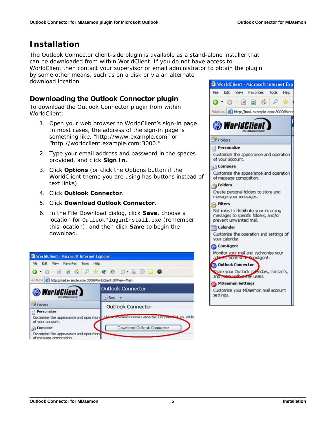### <span id="page-4-0"></span>**Installation**

The Outlook Connector client-side plugin is available as a stand-alone installer that can be downloaded from within WorldClient. If you do not have access to

WorldClient then contact your supervisor or email administrator to obtain the plugin by some other means, such as on a disk or via an alternate download location.

#### <span id="page-4-1"></span>**Downloading the Outlook Connector plugin**

To download the Outlook Connector plugin from within WorldClient:

- 1. Open your web browser to WorldClient's sign-in page. In most cases, the address of the sign-in page is something like, "http://www.example.com" or "http://worldclient.example.com:3000."
- 2. Type your email address and password in the spaces provided, and click **Sign In**.
- 3. Click **Options** (or click the Options button if the WorldClient theme you are using has buttons instead of text links).
- 4. Click **Outlook Connector**.
- 5. Click **Download Outlook Connector**.
- 6. In the File Download dialog, click **Save**, choose a location for OutlookPluginInstall.exe (remember this location), and then click **Save** to begin the download.

| WorldClient - Microsoft Internet Explorer                                   |                                                                                                        |
|-----------------------------------------------------------------------------|--------------------------------------------------------------------------------------------------------|
| File Edit View Favorites Tools Help                                         |                                                                                                        |
| $0.0.800P$ * $0.8.80P$                                                      |                                                                                                        |
| Address <b>&amp; http://mail.example.com:3000/WorldClient.dll?View=Main</b> |                                                                                                        |
| <b>WorldClient</b>                                                          | <b>Outlook Connector</b>                                                                               |
|                                                                             | <b>Now</b> v                                                                                           |
| Folders                                                                     | <b>Outlook Connector</b>                                                                               |
| Personalize<br>of your account.                                             | Customize the appearance and operation Chile to utilities outlook Connector. Once instead, you will be |
| Compose                                                                     | Download Outlook Connector                                                                             |
| Customize the appearance and operation<br>of message composition.           |                                                                                                        |

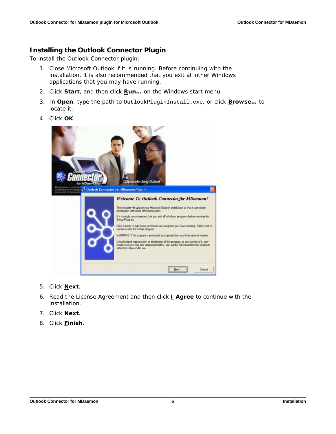#### <span id="page-5-0"></span>**Installing the Outlook Connector Plugin**

To install the Outlook Connector plugin:

- 1. Close Microsoft Outlook if it is running. Before continuing with the installation, it is also recommended that you exit all other Windows applications that you may have running.
- 2. Click **Start**, and then click **Run…** on the Windows start menu.
- 3. In **Open**, type the path to OutlookPluginInstall.exe, or click **Browse…** to locate it.
- 4. Click **OK**.



- 5. Click **Next**.
- 6. Read the License Agreement and then click **I Agree** to continue with the installation.
- 7. Click **Next**.
- 8. Click **Finish**.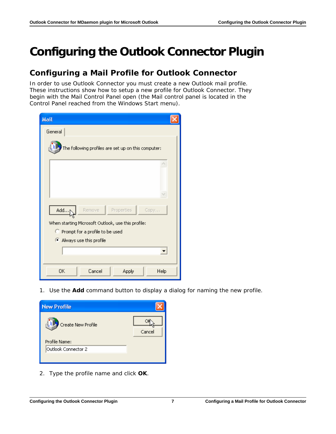## <span id="page-6-0"></span>**Configuring the Outlook Connector Plugin**

## <span id="page-6-1"></span>**Configuring a Mail Profile for Outlook Connector**

In order to use Outlook Connector you must create a new Outlook mail profile. These instructions show how to setup a new profile for Outlook Connector. They begin with the *Mail Control Panel* open (the *Mail* control panel is located in the *Control Panel* reached from the Windows Start menu).

| <b>Mail</b>                                         |  |
|-----------------------------------------------------|--|
| General                                             |  |
| The following profiles are set up on this computer: |  |
|                                                     |  |
| Remove<br>Properties<br>Add<br>Copy                 |  |
| When starting Microsoft Outlook, use this profile:  |  |
| Prompt for a profile to be used                     |  |
| Always use this profile                             |  |
|                                                     |  |
|                                                     |  |
| Cancel<br>ΟK<br>Help<br>Apply                       |  |

1. Use the **Add** command button to display a dialog for naming the new profile.



2. Type the *profile name* and click **OK**.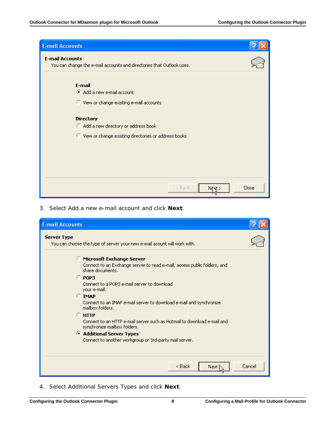

3. Select *Add a new e-mail account* and click **Next**.

| <b>E-mail Accounts</b>                                                                                                                                                                                                                                                                                                                                                                                                                                                                                                       |        |
|------------------------------------------------------------------------------------------------------------------------------------------------------------------------------------------------------------------------------------------------------------------------------------------------------------------------------------------------------------------------------------------------------------------------------------------------------------------------------------------------------------------------------|--------|
| <b>Server Type</b><br>You can choose the type of server your new e-mail acount will work with.                                                                                                                                                                                                                                                                                                                                                                                                                               |        |
| Microsoft Exchange Server<br>Connect to an Exchange server to read e-mail, access public folders, and<br>share documents.<br>$C$ POP3<br>Connect to a POP3 e-mail server to download<br>your e-mail.<br><b>C</b> IMAP<br>Connect to an IMAP e-mail server to download e-mail and synchronize<br>mailbox folders.<br>$C$ HTTP<br>Connect to an HTTP e-mail server such as Hotmail to download e-mail and<br>synchronize mailbox folders.<br>Additional Server Types<br>Connect to another workgroup or 3rd-party mail server. |        |
| $8$ Back<br>Next                                                                                                                                                                                                                                                                                                                                                                                                                                                                                                             | Cancel |

4. Select *Additional Servers Types* and click **Next**.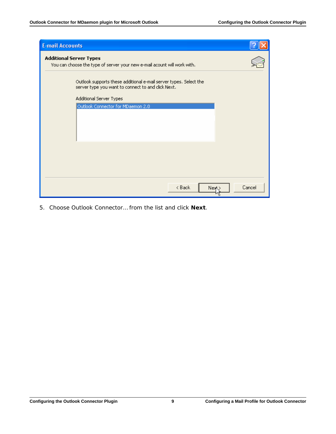| <b>E-mail Accounts</b>                                                                                                  |        |
|-------------------------------------------------------------------------------------------------------------------------|--------|
| <b>Additional Server Types</b><br>You can choose the type of server your new e-mail acount will work with.              |        |
| Outlook supports these additional e-mail server types. Select the<br>server type you want to connect to and click Next. |        |
| Additional Server Types                                                                                                 |        |
| Outlook Connector for MDaemon 2.0                                                                                       |        |
|                                                                                                                         |        |
|                                                                                                                         |        |
|                                                                                                                         |        |
|                                                                                                                         |        |
|                                                                                                                         |        |
|                                                                                                                         |        |
|                                                                                                                         |        |
|                                                                                                                         |        |
| < Back<br>New                                                                                                           | Cancel |

5. Choose *Outlook Connector…* from the list and click **Next**.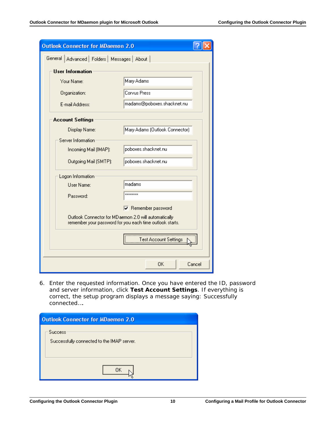| <b>Outlook Connector for MDaemon 2.0</b>        |                                                                                                                   |        |
|-------------------------------------------------|-------------------------------------------------------------------------------------------------------------------|--------|
| General   Advanced   Folders   Messages   About |                                                                                                                   |        |
| User Information                                |                                                                                                                   |        |
| Your Name:                                      | Mary Adams                                                                                                        |        |
| Organization:                                   | Corvus Press                                                                                                      |        |
| E-mail Address:                                 | madams@poboxes.shacknet.nu                                                                                        |        |
| <b>Account Settings</b>                         |                                                                                                                   |        |
| Display Name:                                   | Mary Adams (Outlook Connector)                                                                                    |        |
| Server Information                              |                                                                                                                   |        |
| Incoming Mail (IMAP):                           | poboxes.shacknet.nu                                                                                               |        |
| Outgoing Mail (SMTP):                           | poboxes.shacknet.nu                                                                                               |        |
| Logon Information                               |                                                                                                                   |        |
| User Name:                                      | madams                                                                                                            |        |
| Password:                                       | ********                                                                                                          |        |
|                                                 | Remember password                                                                                                 |        |
|                                                 | Outlook Connector for MD aemon 2.0 will automatically<br>remember your password for you each time outlook starts. |        |
|                                                 | Test Account Settings                                                                                             |        |
|                                                 | 0K.                                                                                                               | Cancel |

6. Enter the requested information. Once you have entered the *ID*, *password* and *server* information, click **Test Account Settings**. If everything is correct, the setup program displays a message saying: *Successfully connected…*.

| <b>Outlook Connector for MDaemon 2.0</b>                     |  |
|--------------------------------------------------------------|--|
| <b>Success</b><br>Successfully connected to the IMAP server. |  |
| OΚ                                                           |  |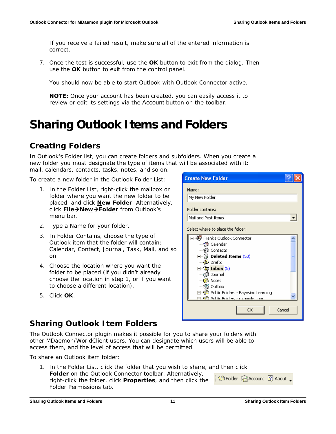If you receive a failed result, make sure all of the entered information is correct.

7. Once the test is successful, use the **OK** button to exit from the dialog. Then use the **OK** button to exit from the control panel.

You should now be able to start Outlook with Outlook Connector active.

**NOTE:** Once your account has been created, you can easily access it to review or edit its settings via the Account button on the toolbar.

## <span id="page-10-0"></span>**Sharing Outlook Items and Folders**

## <span id="page-10-1"></span>**Creating Folders**

In Outlook's Folder list, you can create folders and subfolders. When you create a new folder you must designate the type of items that will be associated with it: mail, calendars, contacts, tasks, notes, and so on.

To create a new folder in the Outlook Folder List:

- 1. In the Folder List, right-click the mailbox or folder where you want the new folder to be placed, and click **New Folder**. Alternatively, **click File→New→Folder** from Outlook's menu bar.
- 2. Type a *Name* for your folder.
- 3. In *Folder Contains*, choose the type of Outlook item that the folder will contain: Calendar, Contact, Journal, Task, Mail, and so on.
- 4. Choose the location where you want the folder to be placed (if you didn't already choose the location in step 1, or if you want to choose a different location).
- 5. Click **OK**.



### <span id="page-10-2"></span>**Sharing Outlook Item Folders**

The Outlook Connector plugin makes it possible for you to share your folders with other MDaemon/WorldClient users. You can designate which users will be able to access them, and the level of access that will be permitted.

To share an Outlook item folder:

1. In the Folder List, click the folder that you wish to share, and then click **Folder** on the Outlook Connector toolbar. Alternatively, Ca Folder Ca Account 2 About right-click the folder, click **Properties**, and then click the Folder Permissions tab.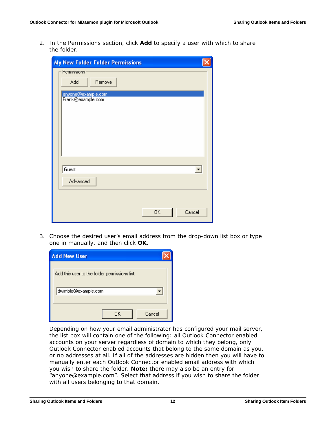2. In the *Permissions* section, click **Add** to specify a user with which to share the folder.

| <b>My New Folder Folder Permissions</b> |                      |
|-----------------------------------------|----------------------|
| Permissions                             |                      |
| Add<br>Remove                           |                      |
| anyone@example.com                      |                      |
| Frank@example.com                       |                      |
|                                         |                      |
|                                         |                      |
|                                         |                      |
|                                         |                      |
|                                         |                      |
|                                         |                      |
| Guest                                   | $\blacktriangledown$ |
| Advanced                                |                      |
|                                         |                      |
|                                         |                      |
| <b>OK</b><br>Cancel                     |                      |

3. Choose the desired user's email address from the drop-down list box or type one in manually, and then click **OK**.

| <b>Add New User</b>                           |
|-----------------------------------------------|
| Add this user to the folder permissions list: |
| dwimble@example.com                           |
| Cancel<br>ΠK                                  |

Depending on how your email administrator has configured your mail server, the list box will contain one of the following: all Outlook Connector enabled accounts on your server regardless of domain to which they belong, only Outlook Connector enabled accounts that belong to the same domain as you, or no addresses at all. If all of the addresses are hidden then you will have to manually enter each Outlook Connector enabled email address with which you wish to share the folder. **Note:** there may also be an entry for "anyone@example.com". Select that address if you wish to share the folder with all users belonging to that domain.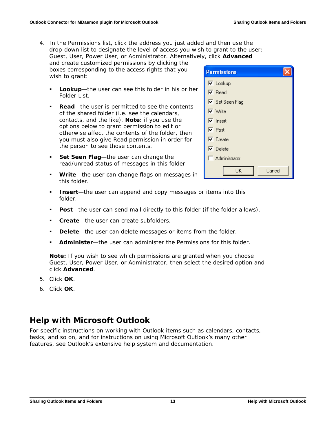4. In the *Permissions* list, click the address you just added and then use the drop-down list to designate the level of access you wish to grant to the user: *Guest*, *User*, *Power User*, or *Administrator*. Alternatively, click **Advanced**

and create customized permissions by clicking the boxes corresponding to the access rights that you wish to grant:

- **Lookup**—the user can see this folder in his or her Folder List.
- **Read**—the user is permitted to see the contents of the shared folder (i.e. see the calendars, contacts, and the like). **Note:** if you use the options below to grant permission to edit or otherwise affect the contents of the folder, then you must also give *Read* permission in order for the person to see those contents.
- **Set Seen Flag**—the user can change the read/unread status of messages in this folder.
- **Write**—the user can change flags on messages in this folder.
- **Insert**—the user can append and copy messages or items into this folder.
- **Post**—the user can send mail directly to this folder (if the folder allows).
- **Create**—the user can create subfolders.
- **Delete**—the user can delete messages or items from the folder.
- **Administer**—the user can administer the Permissions for this folder.

**Note:** If you wish to see which permissions are granted when you choose *Guest*, *User*, *Power User*, or *Administrator*, then select the desired option and click **Advanced**.

- 5. Click **OK**.
- 6. Click **OK**.

### <span id="page-12-0"></span>**Help with Microsoft Outlook**

For specific instructions on working with Outlook items such as calendars, contacts, tasks, and so on, and for instructions on using Microsoft Outlook's many other features, see Outlook's extensive help system and documentation.

| <b>Permissions</b>                |
|-----------------------------------|
| $\overline{\triangledown}$ Lookup |
| $\nabla$ Read                     |
| <b>▽</b> Set Seen Flag            |
| $\nabla$ Write                    |
| $\overline{\triangledown}$ Insert |
| $\overline{\triangledown}$ Post   |
| $\overline{\nabla}$ Create        |
| $\nabla$ Delete                   |
| Administrator                     |
| ΟK<br>Cancel                      |